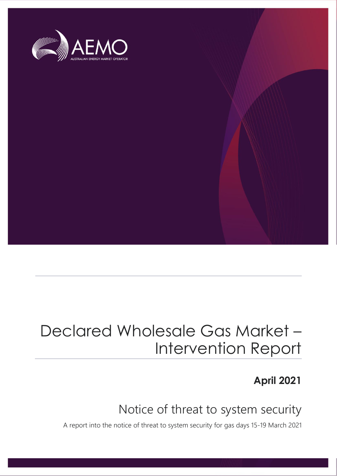

## Declared Wholesale Gas Market – Intervention Report

### **April 2021**

## Notice of threat to system security

A report into the notice of threat to system security for gas days 15-19 March 2021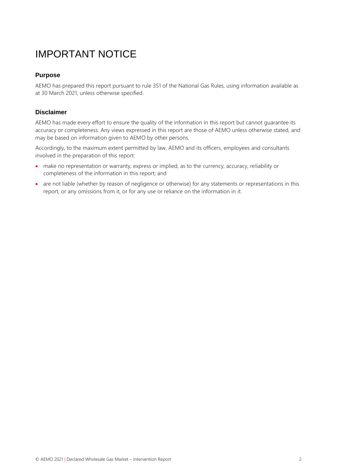## IMPORTANT NOTICE

### **Purpose**

AEMO has prepared this report pursuant to rule 351 of the National Gas Rules, using information available as at 30 March 2021, unless otherwise specified.

#### **Disclaimer**

AEMO has made every effort to ensure the quality of the information in this report but cannot guarantee its accuracy or completeness. Any views expressed in this report are those of AEMO unless otherwise stated, and may be based on information given to AEMO by other persons.

Accordingly, to the maximum extent permitted by law, AEMO and its officers, employees and consultants involved in the preparation of this report:

- make no representation or warranty, express or implied, as to the currency, accuracy, reliability or completeness of the information in this report; and
- are not liable (whether by reason of negligence or otherwise) for any statements or representations in this report, or any omissions from it, or for any use or reliance on the information in it.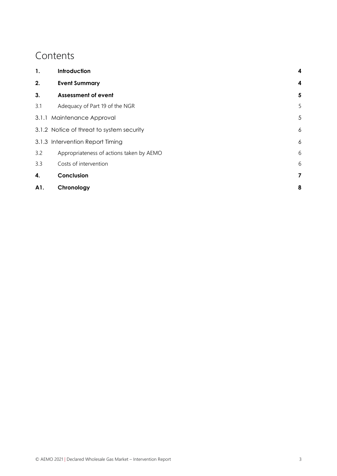### **Contents**

| 1.  | Introduction                              | 4 |
|-----|-------------------------------------------|---|
| 2.  | <b>Event Summary</b>                      | 4 |
| 3.  | <b>Assessment of event</b>                | 5 |
| 3.1 | Adequacy of Part 19 of the NGR            | 5 |
|     | 3.1.1 Maintenance Approval                | 5 |
|     | 3.1.2 Notice of threat to system security | 6 |
|     | 3.1.3 Intervention Report Timing          | 6 |
| 3.2 | Appropriateness of actions taken by AEMO  | 6 |
| 3.3 | Costs of intervention                     | 6 |
| 4.  | Conclusion                                | 7 |
| A1. | Chronology                                | 8 |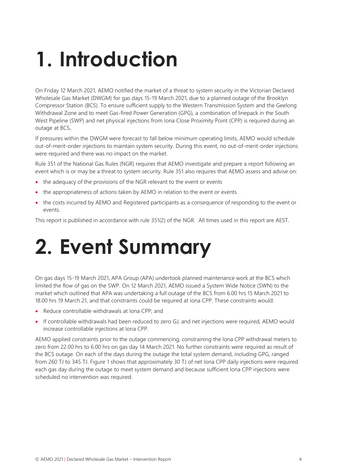# <span id="page-3-0"></span>**1. Introduction**

On Friday 12 March 2021, AEMO notified the market of a threat to system security in the Victorian Declared Wholesale Gas Market (DWGM) for gas days 15-19 March 2021, due to a planned outage of the Brooklyn Compressor Station (BCS). To ensure sufficient supply to the Western Transmission System and the Geelong Withdrawal Zone and to meet Gas-fired Power Generation (GPG), a combination of linepack in the South West Pipeline (SWP) and net physical injections from Iona Close Proximity Point (CPP) is required during an outage at BCS,.

If pressures within the DWGM were forecast to fall below minimum operating limits, AEMO would schedule out-of-merit-order injections to maintain system security. During this event, no out-of-merit-order injections were required and there was no impact on the market.

Rule 351 of the National Gas Rules (NGR) requires that AEMO investigate and prepare a report following an event which is or may be a threat to system security. Rule 351 also requires that AEMO assess and advise on:

- the adequacy of the provisions of the NGR relevant to the event or events
- the appropriateness of actions taken by AEMO in relation to the event or events
- the costs incurred by AEMO and Registered participants as a consequence of responding to the event or events.

This report is published in accordance with rule 351(2) of the NGR. All times used in this report are AEST.

## <span id="page-3-1"></span>**2. Event Summary**

On gas days 15-19 March 2021, APA Group (APA) undertook planned maintenance work at the BCS which limited the flow of gas on the SWP. On 12 March 2021, AEMO issued a System Wide Notice (SWN) to the market which outlined that APA was undertaking a full outage of the BCS from 6.00 hrs 15 March 2021 to 18.00 hrs 19 March 21, and that constraints could be required at Iona CPP. These constraints would:

- Reduce controllable withdrawals at Iona CPP; and
- If controllable withdrawals had been reduced to zero GJ, and net injections were required, AEMO would increase controllable injections at Iona CPP.

AEMO applied constraints prior to the outage commencing, constraining the Iona CPP withdrawal meters to zero from 22.00 hrs to 6.00 hrs on gas day 14 March 2021. No further constraints were required as result of the BCS outage. On each of the days during the outage the total system demand, including GPG, ranged from 260 TJ to 345 TJ. [Figure 1](#page-4-3) shows that approximately 30 TJ of net Iona CPP daily injections were required each gas day during the outage to meet system demand and because sufficient Iona CPP injections were scheduled no intervention was required.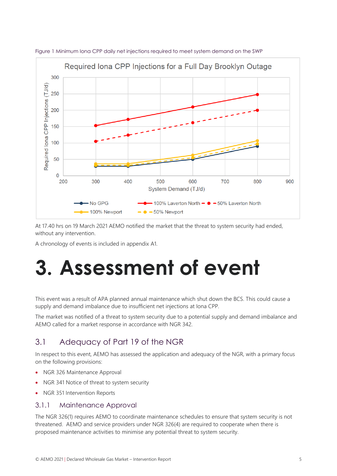

<span id="page-4-3"></span>Figure 1 Minimum Iona CPP daily net injections required to meet system demand on the SWP

At 17.40 hrs on 19 March 2021 AEMO notified the market that the threat to system security had ended, without any intervention.

A chronology of events is included in appendix [A1.](#page-7-0)

## <span id="page-4-0"></span>**3. Assessment of event**

This event was a result of APA planned annual maintenance which shut down the BCS. This could cause a supply and demand imbalance due to insufficient net injections at Iona CPP.

The market was notified of a threat to system security due to a potential supply and demand imbalance and AEMO called for a market response in accordance with NGR 342.

### <span id="page-4-1"></span>3.1 Adequacy of Part 19 of the NGR

In respect to this event, AEMO has assessed the application and adequacy of the NGR, with a primary focus on the following provisions:

- NGR 326 Maintenance Approval
- NGR 341 Notice of threat to system security
- NGR 351 Intervention Reports

### <span id="page-4-2"></span>3.1.1 Maintenance Approval

The NGR 326(1) requires AEMO to coordinate maintenance schedules to ensure that system security is not threatened. AEMO and service providers under NGR 326(4) are required to cooperate when there is proposed maintenance activities to minimise any potential threat to system security.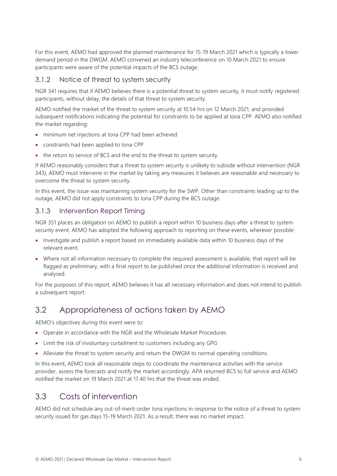For this event, AEMO had approved the planned maintenance for 15-19 March 2021 which is typically a lower demand period in the DWGM. AEMO convened an industry teleconference on 10 March 2021 to ensure participants were aware of the potential impacts of the BCS outage.

### <span id="page-5-0"></span>3.1.2 Notice of threat to system security

NGR 341 requires that if AEMO believes there is a potential threat to system security, it must notify registered participants, without delay, the details of that threat to system security.

AEMO notified the market of the threat to system security at 10.54 hrs on 12 March 2021, and provided subsequent notifications indicating the potential for constraints to be applied at Iona CPP. AEMO also notified the market regarding:

- minimum net injections at Iona CPP had been achieved
- constraints had been applied to Iona CPP
- the return to service of BCS and the end to the threat to system security.

If AEMO reasonably considers that a threat to system security is unlikely to subside without intervention (NGR 343), AEMO must intervene in the market by taking any measures it believes are reasonable and necessary to overcome the threat to system security.

In this event, the issue was maintaining system security for the SWP. Other than constraints leading up to the outage, AEMO did not apply constraints to Iona CPP during the BCS outage.

### <span id="page-5-1"></span>3.1.3 Intervention Report Timing

NGR 351 places an obligation on AEMO to publish a report within 10 business days after a threat to system security event. AEMO has adopted the following approach to reporting on these events, wherever possible:

- Investigate and publish a report based on immediately available data within 10 business days of the relevant event.
- Where not all information necessary to complete the required assessment is available, that report will be flagged as preliminary, with a final report to be published once the additional information is received and analysed.

For the purposes of this report, AEMO believes it has all necessary information and does not intend to publish a subsequent report.

### <span id="page-5-2"></span>3.2 Appropriateness of actions taken by AEMO

AEMO's objectives during this event were to:

- Operate in accordance with the NGR and the Wholesale Market Procedures
- Limit the risk of involuntary curtailment to customers including any GPG
- Alleviate the threat to system security and return the DWGM to normal operating conditions.

In this event, AEMO took all reasonable steps to coordinate the maintenance activities with the service provider, assess the forecasts and notify the market accordingly. APA returned BCS to full service and AEMO notified the market on 19 March 2021 at 17.40 hrs that the threat was ended.

### <span id="page-5-3"></span>3.3 Costs of intervention

AEMO did not schedule any out-of-merit-order Iona injections in response to the notice of a threat to system security issued for gas days 15-19 March 2021. As a result, there was no market impact.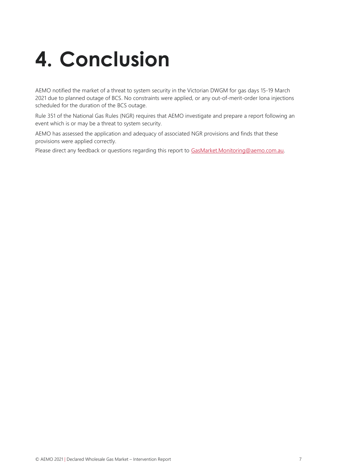# <span id="page-6-0"></span>**4. Conclusion**

AEMO notified the market of a threat to system security in the Victorian DWGM for gas days 15-19 March 2021 due to planned outage of BCS. No constraints were applied, or any out-of-merit-order Iona injections scheduled for the duration of the BCS outage.

Rule 351 of the National Gas Rules (NGR) requires that AEMO investigate and prepare a report following an event which is or may be a threat to system security.

AEMO has assessed the application and adequacy of associated NGR provisions and finds that these provisions were applied correctly.

Please direct any feedback or questions regarding this report to [GasMarket.Monitoring@aemo.com.au.](mailto:GasMarket.Monitoring@aemo.com.au)